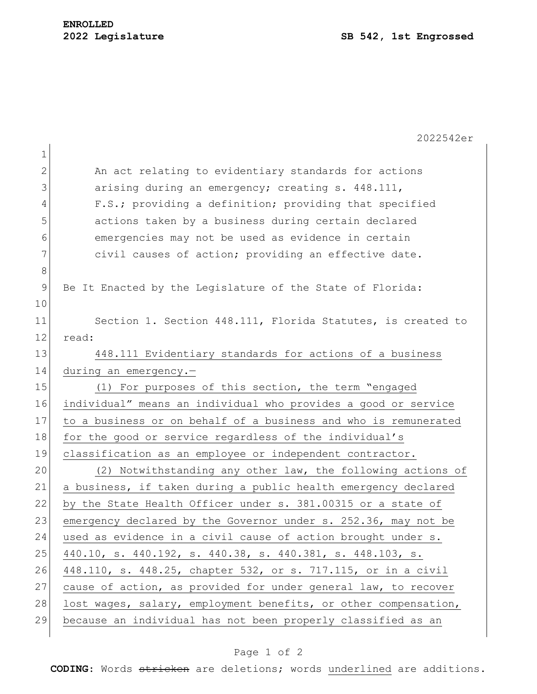|               | 2022542er                                                       |
|---------------|-----------------------------------------------------------------|
| $\mathbf 1$   |                                                                 |
| $\mathbf{2}$  | An act relating to evidentiary standards for actions            |
| 3             | arising during an emergency; creating s. 448.111,               |
| 4             | F.S.; providing a definition; providing that specified          |
| 5             | actions taken by a business during certain declared             |
| 6             | emergencies may not be used as evidence in certain              |
| 7             | civil causes of action; providing an effective date.            |
| $8\,$         |                                                                 |
| $\mathcal{G}$ | Be It Enacted by the Legislature of the State of Florida:       |
| 10            |                                                                 |
| 11            | Section 1. Section 448.111, Florida Statutes, is created to     |
| 12            | read:                                                           |
| 13            | 448.111 Evidentiary standards for actions of a business         |
| 14            | during an emergency.-                                           |
| 15            | (1) For purposes of this section, the term "engaged             |
| 16            | individual" means an individual who provides a good or service  |
| 17            | to a business or on behalf of a business and who is remunerated |
| 18            | for the good or service regardless of the individual's          |
| 19            | classification as an employee or independent contractor.        |
| 20            | (2) Notwithstanding any other law, the following actions of     |
| 21            | a business, if taken during a public health emergency declared  |
| 22            | by the State Health Officer under s. 381.00315 or a state of    |
| 23            | emergency declared by the Governor under s. 252.36, may not be  |
| 24            | used as evidence in a civil cause of action brought under s.    |
| 25            | 440.10, s. 440.192, s. 440.38, s. 440.381, s. 448.103, s.       |
| 26            | 448.110, s. 448.25, chapter 532, or s. 717.115, or in a civil   |
| 27            | cause of action, as provided for under general law, to recover  |
| 28            | lost wages, salary, employment benefits, or other compensation, |
| 29            | because an individual has not been properly classified as an    |
|               |                                                                 |

## Page 1 of 2

**CODING**: Words stricken are deletions; words underlined are additions.